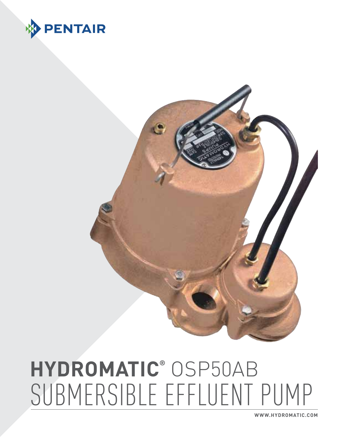



**www.HYDROMATIC.com**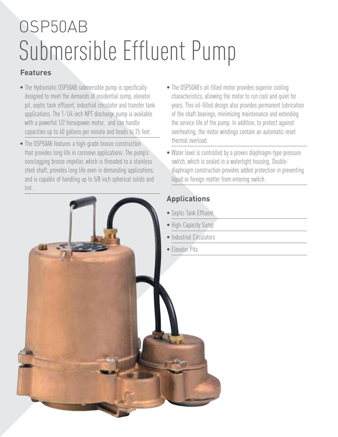# OSP50AB Submersible Effluent Pump

#### **Features**

- The Hydromatic OSP50AB submersible pump is specifically designed to meet the demands of residential sump, elevator pit, septic tank effluent, industrial circulator and transfer tank applications. The 1-1/4 inch NPT discharge pump is available with a powerful 1/2 horsepower motor, and can handle capacities up to 60 gallons per minute and heads to 25 feet.
- The OSP50AB features a high-grade bronze construction that provides long life in corrosive applications. The pump's nonclogging bronze impeller, which is threaded to a stainless steel shaft, provides long life even in demanding applications, and is capable of handling up to 5/8 inch spherical solids and lint.
- The OSP50AB's oil-filled motor provides superior cooling characteristics, allowing the motor to run cool and quiet for years. This oil-filled design also provides permanent lubrication of the shaft bearings, minimizing maintenance and extending the service life of the pump. In addition, to protect against overheating, the motor windings contain an automatic reset thermal overload.
- Water level is controlled by a proven diaphragm-type pressure switch, which is sealed in a watertight housing. Doublediaphragm construction provides added protection in preventing liquid or foreign matter from entering switch.

### **Applications**

- Septic Tank Effluent
- High-Capacity Sump
- Industrial Circulators
- Elevator Pits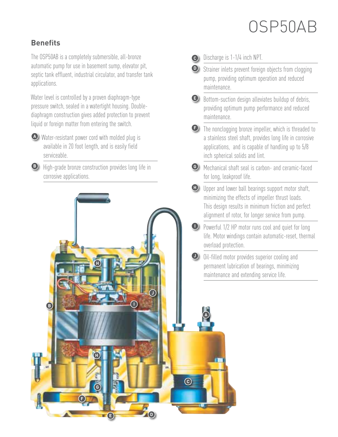## OSP50AB

#### **Benefits**

**B**

**F**

**G**

**H**

The OSP50AB is a completely submersible, all-bronze automatic pump for use in basement sump, elevator pit, septic tank effluent, industrial circulator, and transfer tank applications.

Water level is controlled by a proven diaphragm-type pressure switch, sealed in a watertight housing. Doublediaphragm construction gives added protection to prevent liquid or foreign matter from entering the switch.

 Water-resistant power cord with molded plug is **A** available in 20 foot length, and is easily field serviceable.

**B** High-grade bronze construction provides long life in corrosive applications.

**H**

**E D**

**I**

**J**

Discharge is 1-1/4 inch NPT. **C**

- **D** Strainer inlets prevent foreign objects from clogging pump, providing optimum operation and reduced maintenance.
- **E** Bottom-suction design alleviates buildup of debris, providing optimum pump performance and reduced maintenance.
- **E** The nonclogging bronze impeller, which is threaded to a stainless steel shaft, provides long life in corrosive applications, and is capable of handling up to 5/8 inch spherical solids and lint.
- Mechanical shaft seal is carbon- and ceramic-faced **G** for long, leakproof life.
- **H** Upper and lower ball bearings support motor shaft, minimizing the effects of impeller thrust loads. This design results in minimum friction and perfect alignment of rotor, for longer service from pump.
- Powerful 1/2 HP motor runs cool and quiet for long **I** life. Motor windings contain automatic-reset, thermal overload protection.
- **D** Oil-filled motor provides superior cooling and permanent lubrication of bearings, minimizing maintenance and extending service life.

**A**

**C**